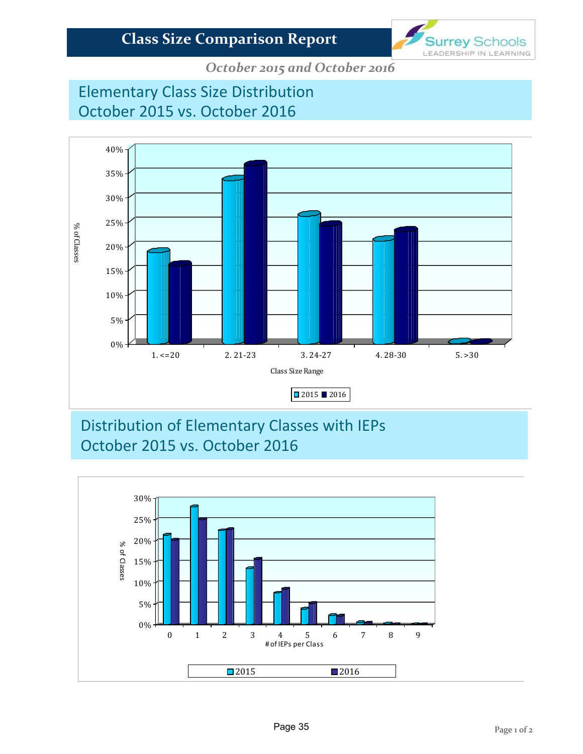

*October 2015 and October 2016*

# Elementary Class Size Distribution October 2015 vs. October 2016



## Distribution of Elementary Classes with IEPs October 2015 vs. October 2016

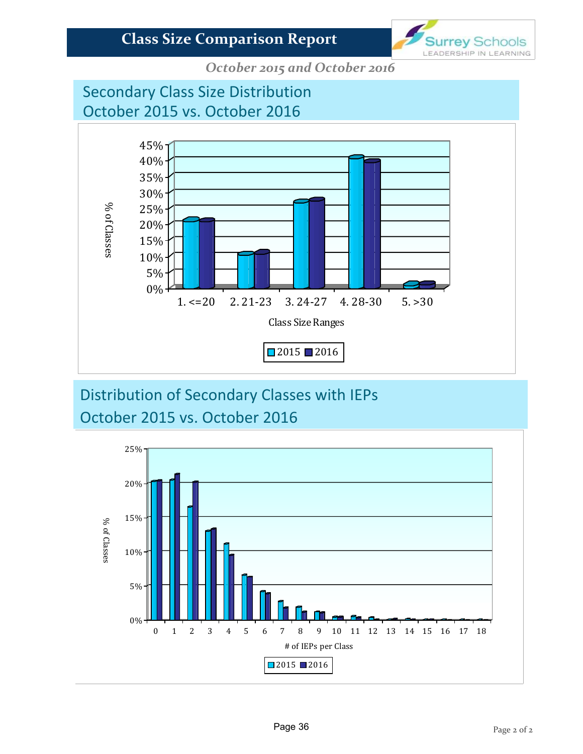

*October 2015 and October 2016*

# Secondary Class Size Distribution October 2015 vs. October 2016



# Distribution of Secondary Classes with IEPs October 2015 vs. October 2016

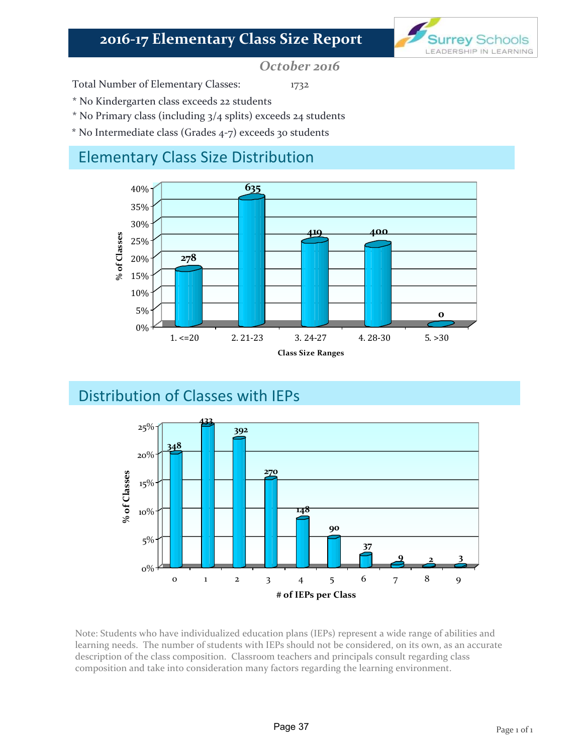## **2016‐17 Elementary Class Size Report**



*October 2016*

Total Number of Elementary Classes: 1732

\* No Kindergarten class exceeds 22 students

- \* No Primary class (including 3/4 splits) exceeds 24 students
- \* No Intermediate class (Grades 4‐7) exceeds 30 students

## Elementary Class Size Distribution



## Distribution of Classes with IEPs



Note: Students who have individualized education plans (IEPs) represent a wide range of abilities and learning needs. The number of students with IEPs should not be considered, on its own, as an accurate description of the class composition. Classroom teachers and principals consult regarding class composition and take into consideration many factors regarding the learning environment.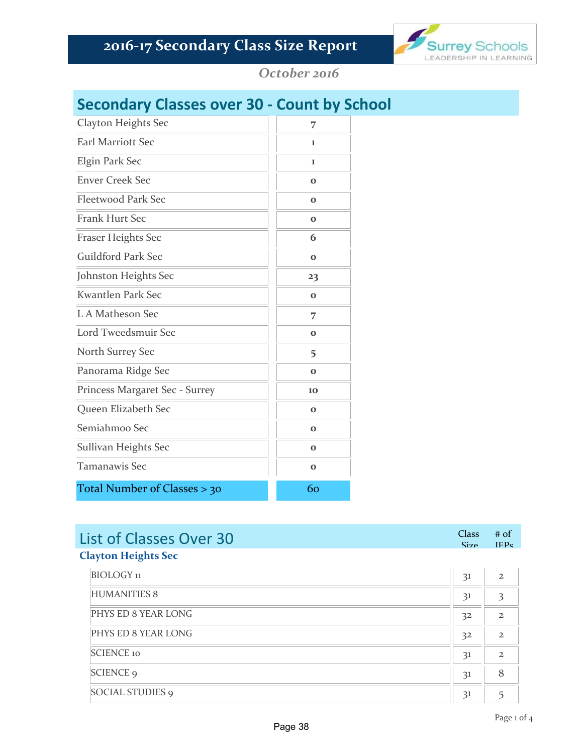

*October 2016*

## **Secondary Classes over 30 ‐ Count by School**

| Clayton Heights Sec            | 7           |
|--------------------------------|-------------|
| Earl Marriott Sec              | 1           |
| Elgin Park Sec                 | 1           |
| <b>Enver Creek Sec</b>         | $\bf{O}$    |
| <b>Fleetwood Park Sec</b>      | $\bf{o}$    |
| <b>Frank Hurt Sec</b>          | $\bf{O}$    |
| <b>Fraser Heights Sec</b>      | 6           |
| <b>Guildford Park Sec</b>      | $\bf{O}$    |
| Johnston Heights Sec           | 23          |
| Kwantlen Park Sec              | $\bf{O}$    |
| L A Matheson Sec               | 7           |
| Lord Tweedsmuir Sec            | $\bf{O}$    |
| North Surrey Sec               | 5           |
| Panorama Ridge Sec             | $\bf{O}$    |
| Princess Margaret Sec - Surrey | 10          |
| Queen Elizabeth Sec            | $\bf{O}$    |
| Semiahmoo Sec                  | $\mathbf 0$ |
| Sullivan Heights Sec           | $\bf{o}$    |
| <b>Tamanawis Sec</b>           | $\bf{O}$    |
| Total Number of Classes > 30   | 60          |

| List of Classes Over 30    | $Class$ # of<br>$\frac{1}{2}$ $\frac{1}{2}$ $\frac{1}{2}$ $\frac{1}{2}$ $\frac{1}{2}$ $\frac{1}{2}$ $\frac{1}{2}$ $\frac{1}{2}$ $\frac{1}{2}$ $\frac{1}{2}$ $\frac{1}{2}$ $\frac{1}{2}$ $\frac{1}{2}$ $\frac{1}{2}$ $\frac{1}{2}$ $\frac{1}{2}$ $\frac{1}{2}$ $\frac{1}{2}$ $\frac{1}{2}$ $\frac{1}{2}$ $\frac{1}{2}$ $\frac{1}{2}$ |  |
|----------------------------|-------------------------------------------------------------------------------------------------------------------------------------------------------------------------------------------------------------------------------------------------------------------------------------------------------------------------------------|--|
| <b>Clayton Heights Sec</b> |                                                                                                                                                                                                                                                                                                                                     |  |

| BIOLOGY <sub>11</sub>   | 31             |              |
|-------------------------|----------------|--------------|
| <b>HUMANITIES 8</b>     | 31             |              |
| PHYS ED 8 YEAR LONG     | 3 <sup>2</sup> |              |
| PHYS ED 8 YEAR LONG     | 3 <sup>2</sup> | $\mathbf{z}$ |
| <b>SCIENCE 10</b>       | 31             |              |
| <b>SCIENCE 9</b>        | 31             |              |
| <b>SOCIAL STUDIES 9</b> | 31             |              |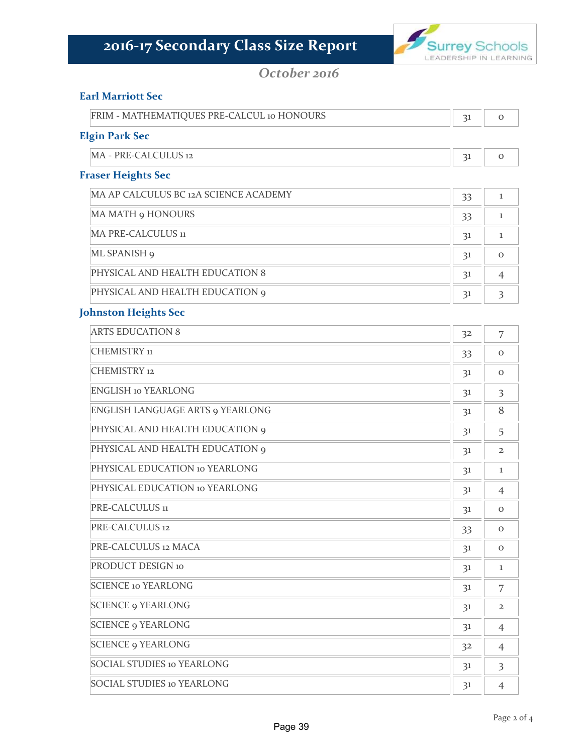

#### *October 2016*

#### **Earl Marriott Sec**

| FRIM - MATHEMATIQUES PRE-CALCUL 10 HONOURS |  |
|--------------------------------------------|--|
| Elgin Park Sec                             |  |

 $MA - PRE-CALCULUS$  12 0

#### **Fraser Heights Sec**

| MA AP CALCULUS BC 12A SCIENCE ACADEMY | 33 |   |
|---------------------------------------|----|---|
| <b>MA MATH 9 HONOURS</b>              | 33 |   |
| <b>MA PRE-CALCULUS 11</b>             | 31 |   |
| ML SPANISH 9                          | 31 | O |
| PHYSICAL AND HEALTH EDUCATION 8       | 31 |   |
| PHYSICAL AND HEALTH EDUCATION 9       | 31 |   |

#### **Johnston Heights Sec**

| <b>ARTS EDUCATION 8</b>           | 32 | 7                       |
|-----------------------------------|----|-------------------------|
| CHEMISTRY 11                      | 33 | $\mathbf{O}$            |
| <b>CHEMISTRY</b> 12               | 31 | $\mathbf{O}$            |
| <b>ENGLISH 10 YEARLONG</b>        | 31 | $\overline{\mathbf{3}}$ |
| ENGLISH LANGUAGE ARTS 9 YEARLONG  | 31 | 8                       |
| PHYSICAL AND HEALTH EDUCATION 9   | 31 | 5                       |
| PHYSICAL AND HEALTH EDUCATION 9   | 31 | $\mathbf{2}$            |
| PHYSICAL EDUCATION 10 YEARLONG    | 31 | 1                       |
| PHYSICAL EDUCATION 10 YEARLONG    | 31 | $\overline{4}$          |
| PRE-CALCULUS 11                   | 31 | $\mathbf{O}$            |
| PRE-CALCULUS 12                   | 33 | $\mathbf{O}$            |
| PRE-CALCULUS 12 MACA              | 31 | $\mathbf{O}$            |
| PRODUCT DESIGN 10                 | 31 | 1                       |
| <b>SCIENCE 10 YEARLONG</b>        | 31 | 7                       |
| <b>SCIENCE 9 YEARLONG</b>         | 31 | $\overline{2}$          |
| <b>SCIENCE 9 YEARLONG</b>         | 31 | $\overline{4}$          |
| <b>SCIENCE 9 YEARLONG</b>         | 32 | $\overline{4}$          |
| <b>SOCIAL STUDIES 10 YEARLONG</b> | 31 | $\overline{\mathbf{3}}$ |
| <b>SOCIAL STUDIES 10 YEARLONG</b> | 31 | $\overline{4}$          |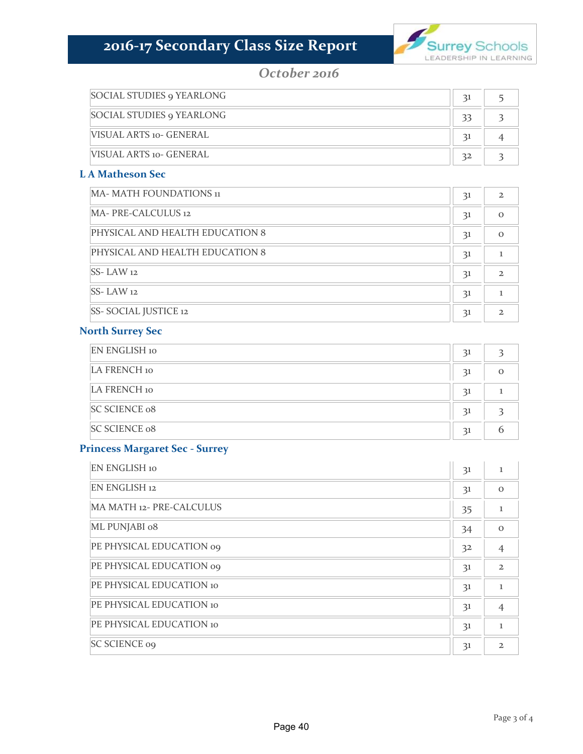

#### *October 2016*

| <b>SOCIAL STUDIES 9 YEARLONG</b> |                 |  |
|----------------------------------|-----------------|--|
| <b>SOCIAL STUDIES 9 YEARLONG</b> | 33              |  |
| VISUAL ARTS 10- GENERAL          | $\overline{31}$ |  |
| VISUAL ARTS 10- GENERAL          | 32              |  |

#### **L A Matheson Sec**

| MA- MATH FOUNDATIONS 11         | 31 | $\mathfrak{D}$ |
|---------------------------------|----|----------------|
| MA- PRE-CALCULUS 12             | 31 | $\Omega$       |
| PHYSICAL AND HEALTH EDUCATION 8 | 31 | $\Omega$       |
| PHYSICAL AND HEALTH EDUCATION 8 | 31 |                |
| $SS$ - LAW 12                   | 31 | $\mathbf{z}$   |
| $SS$ - LAW 12                   | 31 |                |
| <b>SS-SOCIAL JUSTICE 12</b>     | 31 |                |

#### **North Surrey Sec**

| <b>EN ENGLISH 10</b> | 31 |  |
|----------------------|----|--|
| LA FRENCH 10         | 31 |  |
| LA FRENCH 10         | 31 |  |
| <b>SC SCIENCE 08</b> | 31 |  |
| <b>SC SCIENCE 08</b> | 31 |  |

#### **Princess Margaret Sec ‐ Surrey**

| <b>EN ENGLISH 10</b>            | 3 <sup>1</sup> | 1              |
|---------------------------------|----------------|----------------|
| <b>EN ENGLISH 12</b>            | 31             | $\Omega$       |
| MA MATH 12- PRE-CALCULUS        | 35             | ı              |
| ML PUNJABI 08                   | 34             | $\Omega$       |
| PE PHYSICAL EDUCATION 09        | 3 <sup>2</sup> | $\overline{4}$ |
| PE PHYSICAL EDUCATION 09        | 3 <sup>1</sup> | $\mathbf{2}$   |
| <b>PE PHYSICAL EDUCATION 10</b> | 31             | 1              |
| <b>PE PHYSICAL EDUCATION 10</b> | 31             | $\overline{4}$ |
| PE PHYSICAL EDUCATION 10        | 3 <sup>1</sup> | L              |
| <b>SC SCIENCE 09</b>            | 31             | $\mathfrak{D}$ |